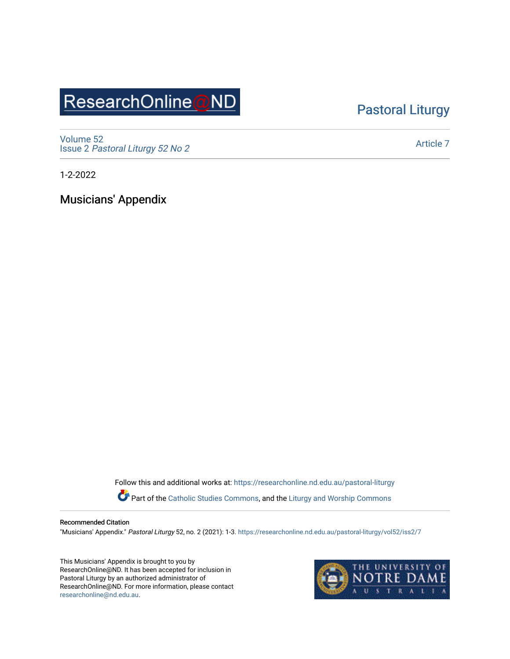# ResearchOnline@ND

# [Pastoral Liturgy](https://researchonline.nd.edu.au/pastoral-liturgy)

[Volume 52](https://researchonline.nd.edu.au/pastoral-liturgy/vol52) Issue 2 [Pastoral Liturgy 52 No 2](https://researchonline.nd.edu.au/pastoral-liturgy/vol52/iss2)

[Article 7](https://researchonline.nd.edu.au/pastoral-liturgy/vol52/iss2/7) 

1-2-2022

Musicians' Appendix

Follow this and additional works at: [https://researchonline.nd.edu.au/pastoral-liturgy](https://researchonline.nd.edu.au/pastoral-liturgy?utm_source=researchonline.nd.edu.au%2Fpastoral-liturgy%2Fvol52%2Fiss2%2F7&utm_medium=PDF&utm_campaign=PDFCoverPages) Part of the [Catholic Studies Commons,](http://network.bepress.com/hgg/discipline/1294?utm_source=researchonline.nd.edu.au%2Fpastoral-liturgy%2Fvol52%2Fiss2%2F7&utm_medium=PDF&utm_campaign=PDFCoverPages) and the Liturgy and Worship Commons

#### Recommended Citation

"Musicians' Appendix." Pastoral Liturgy 52, no. 2 (2021): 1-3. [https://researchonline.nd.edu.au/pastoral-liturgy/vol52/iss2/7](https://researchonline.nd.edu.au/pastoral-liturgy/vol52/iss2/7?utm_source=researchonline.nd.edu.au%2Fpastoral-liturgy%2Fvol52%2Fiss2%2F7&utm_medium=PDF&utm_campaign=PDFCoverPages) 

This Musicians' Appendix is brought to you by ResearchOnline@ND. It has been accepted for inclusion in Pastoral Liturgy by an authorized administrator of ResearchOnline@ND. For more information, please contact [researchonline@nd.edu.au.](mailto:researchonline@nd.edu.au)

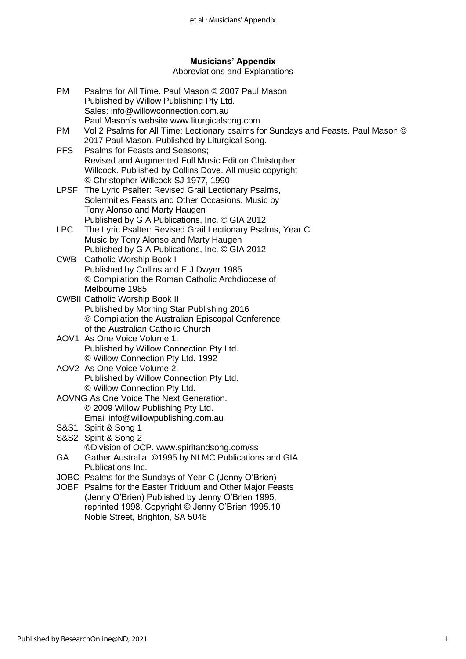# **Musicians' Appendix**

#### Abbreviations and Explanations

| <b>PM</b>  | Psalms for All Time. Paul Mason © 2007 Paul Mason                                 |
|------------|-----------------------------------------------------------------------------------|
|            | Published by Willow Publishing Pty Ltd.                                           |
|            | Sales: info@willowconnection.com.au                                               |
|            | Paul Mason's website www.liturgicalsong.com                                       |
| <b>PM</b>  | Vol 2 Psalms for All Time: Lectionary psalms for Sundays and Feasts. Paul Mason © |
|            | 2017 Paul Mason. Published by Liturgical Song.                                    |
| <b>PFS</b> | Psalms for Feasts and Seasons;                                                    |
|            | Revised and Augmented Full Music Edition Christopher                              |
|            | Willcock. Published by Collins Dove. All music copyright                          |
|            | © Christopher Willcock SJ 1977, 1990                                              |
|            | LPSF The Lyric Psalter: Revised Grail Lectionary Psalms,                          |
|            | Solemnities Feasts and Other Occasions. Music by                                  |
|            | Tony Alonso and Marty Haugen                                                      |
|            | Published by GIA Publications, Inc. © GIA 2012                                    |
| <b>LPC</b> | The Lyric Psalter: Revised Grail Lectionary Psalms, Year C                        |
|            | Music by Tony Alonso and Marty Haugen                                             |
|            | Published by GIA Publications, Inc. © GIA 2012                                    |
| <b>CWB</b> | <b>Catholic Worship Book I</b>                                                    |
|            | Published by Collins and E J Dwyer 1985                                           |
|            | © Compilation the Roman Catholic Archdiocese of                                   |
|            | Melbourne 1985                                                                    |
|            | <b>CWBII Catholic Worship Book II</b>                                             |
|            | Published by Morning Star Publishing 2016                                         |
|            | © Compilation the Australian Episcopal Conference                                 |
|            | of the Australian Catholic Church                                                 |
|            | AOV1 As One Voice Volume 1.                                                       |
|            | Published by Willow Connection Pty Ltd.                                           |
|            | © Willow Connection Pty Ltd. 1992                                                 |
|            | AOV2 As One Voice Volume 2.                                                       |
|            | Published by Willow Connection Pty Ltd.                                           |
|            | © Willow Connection Pty Ltd.                                                      |
|            | AOVNG As One Voice The Next Generation.                                           |
|            | © 2009 Willow Publishing Pty Ltd.                                                 |
|            | Email info@willowpublishing.com.au                                                |
| S&S1       | Spirit & Song 1                                                                   |
|            | S&S2 Spirit & Song 2                                                              |
|            | ©Division of OCP. www.spiritandsong.com/ss                                        |
| GA         | Gather Australia. ©1995 by NLMC Publications and GIA                              |
|            | Publications Inc.                                                                 |
|            | JOBC Psalms for the Sundays of Year C (Jenny O'Brien)                             |
|            | JOBF Psalms for the Easter Triduum and Other Major Feasts                         |
|            | (Jenny O'Brien) Published by Jenny O'Brien 1995,                                  |
|            | reprinted 1998. Copyright © Jenny O'Brien 1995.10                                 |
|            | Noble Street, Brighton, SA 5048                                                   |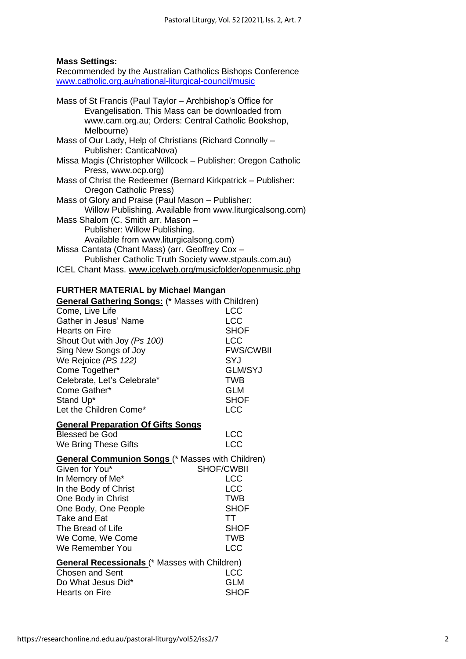### **Mass Settings:**

Recommended by the Australian Catholics Bishops Conference [www.catholic.org.au/national-liturgical-council/music](http://www.catholic.org.au/national-liturgical-council/music)

| Mass of St Francis (Paul Taylor – Archbishop's Office for<br>Evangelisation. This Mass can be downloaded from<br>www.cam.org.au; Orders: Central Catholic Bookshop,<br>Melbourne) |  |
|-----------------------------------------------------------------------------------------------------------------------------------------------------------------------------------|--|
| Mass of Our Lady, Help of Christians (Richard Connolly –                                                                                                                          |  |
| Publisher: CanticaNova)                                                                                                                                                           |  |
| Missa Magis (Christopher Willcock – Publisher: Oregon Catholic                                                                                                                    |  |
| Press, www.ocp.org)                                                                                                                                                               |  |
| Mass of Christ the Redeemer (Bernard Kirkpatrick – Publisher:                                                                                                                     |  |
| Oregon Catholic Press)                                                                                                                                                            |  |
| Mass of Glory and Praise (Paul Mason - Publisher:                                                                                                                                 |  |
| Willow Publishing. Available from www.liturgicalsong.com)                                                                                                                         |  |
| Mass Shalom (C. Smith arr. Mason -                                                                                                                                                |  |
| Publisher: Willow Publishing.                                                                                                                                                     |  |
| Available from www.liturgicalsong.com)                                                                                                                                            |  |
| Missa Cantata (Chant Mass) (arr. Geoffrey Cox -                                                                                                                                   |  |
| Publisher Catholic Truth Society www.stpauls.com.au)                                                                                                                              |  |
| ICEL Chant Mass. www.icelweb.org/musicfolder/openmusic.php                                                                                                                        |  |

## **FURTHER MATERIAL by Michael Mangan**

| <b>General Gathering Songs:</b> (* Masses with Children)                       |                  |  |  |  |
|--------------------------------------------------------------------------------|------------------|--|--|--|
| Come, Live Life                                                                | <b>LCC</b>       |  |  |  |
| Gather in Jesus' Name                                                          | <b>LCC</b>       |  |  |  |
| <b>Hearts on Fire</b>                                                          | <b>SHOF</b>      |  |  |  |
| Shout Out with Joy (Ps 100)                                                    | <b>LCC</b>       |  |  |  |
| Sing New Songs of Joy                                                          | <b>FWS/CWBII</b> |  |  |  |
| We Rejoice (PS 122)                                                            | SYJ              |  |  |  |
| Come Together*                                                                 | <b>GLM/SYJ</b>   |  |  |  |
| Celebrate, Let's Celebrate*                                                    | <b>TWB</b>       |  |  |  |
| Come Gather*                                                                   | GLM              |  |  |  |
| Stand Up*                                                                      | <b>SHOF</b>      |  |  |  |
| Let the Children Come*                                                         | <b>LCC</b>       |  |  |  |
| <b>General Preparation Of Gifts Songs</b>                                      |                  |  |  |  |
| Blessed be God                                                                 | <b>LCC</b>       |  |  |  |
| We Bring These Gifts                                                           | <b>LCC</b>       |  |  |  |
| <b>General Communion Songs</b> (* Masses with Children)<br><b>SHOF/CWBII</b>   |                  |  |  |  |
| Given for You*<br>In Memory of Me*                                             | <b>LCC</b>       |  |  |  |
| In the Body of Christ                                                          | <b>LCC</b>       |  |  |  |
| One Body in Christ                                                             | <b>TWB</b>       |  |  |  |
| One Body, One People                                                           | <b>SHOF</b>      |  |  |  |
| <b>Take and Eat</b>                                                            | <b>TT</b>        |  |  |  |
| The Bread of Life                                                              | <b>SHOF</b>      |  |  |  |
| We Come, We Come                                                               | <b>TWB</b>       |  |  |  |
| We Remember You                                                                | <b>LCC</b>       |  |  |  |
|                                                                                |                  |  |  |  |
| <b>General Recessionals</b> (* Masses with Children)<br><b>Chosen and Sent</b> | <b>LCC</b>       |  |  |  |
| Do What Jesus Did*                                                             | <b>GLM</b>       |  |  |  |
| <b>Hearts on Fire</b>                                                          | <b>SHOF</b>      |  |  |  |
|                                                                                |                  |  |  |  |